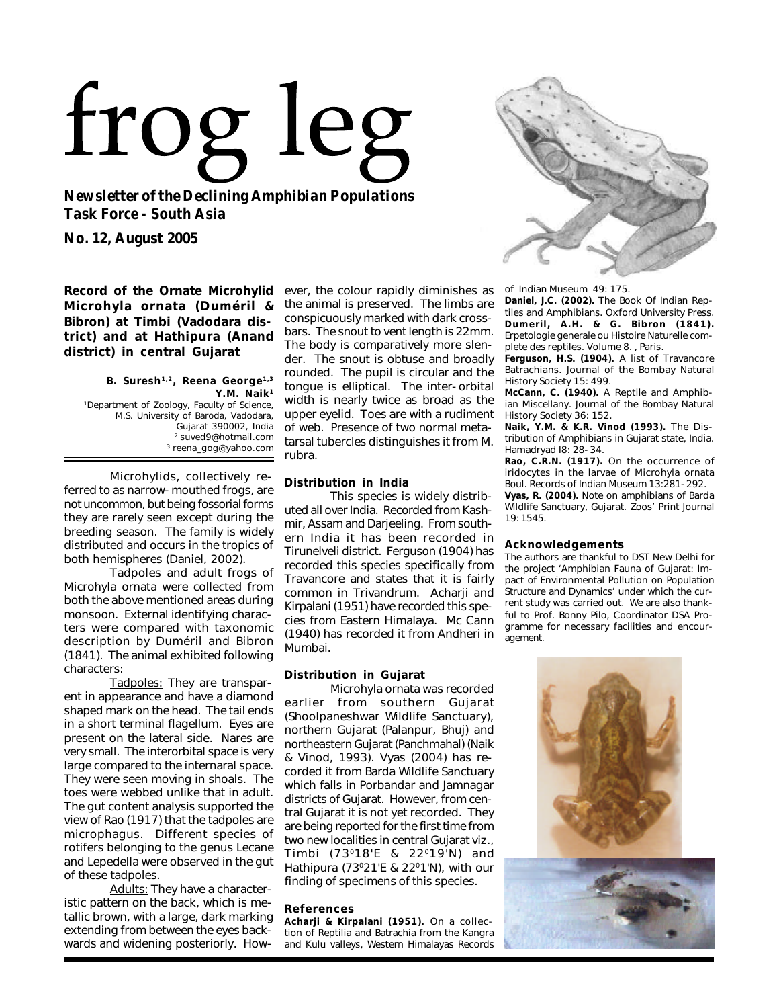# frog leg

*Newsletter of the Declining Amphibian Populations Task Force - South Asia*

*No. 12, August 2005*

**Record of the Ornate Microhylid** *Microhyla ornata* **(Duméril & Bibron) at Timbi (Vadodara district) and at Hathipura (Anand district) in central Gujarat**

#### **B. Suresh 1,2, Reena George1,3 Y.M. Naik<sup>1</sup>** *<sup>1</sup>Department of Zoology, Faculty of Science, M.S. University of Baroda, Vadodara, Gujarat 390002, India <sup>2</sup>suved9@hotmail.com <sup>3</sup>reena\_gog@yahoo.com*

Microhylids, collectively referred to as narrow-mouthed frogs, are not uncommon, but being fossorial forms they are rarely seen except during the breeding season. The family is widely distributed and occurs in the tropics of both hemispheres (Daniel, 2002).

Tadpoles and adult frogs of *Microhyla ornata* were collected from both the above mentioned areas during monsoon. External identifying characters were compared with taxonomic description by Duméril and Bibron (1841). The animal exhibited following characters:

Tadpoles: They are transparent in appearance and have a diamond shaped mark on the head. The tail ends in a short terminal flagellum. Eyes are present on the lateral side. Nares are very small. The interorbital space is very large compared to the internaral space. They were seen moving in shoals. The toes were webbed unlike that in adult. The gut content analysis supported the view of Rao (1917) that the tadpoles are microphagus. Different species of rotifers belonging to the genus *Lecane* and *Lepedella* were observed in the gut of these tadpoles.

Adults: They have a characteristic pattern on the back, which is metallic brown, with a large, dark marking extending from between the eyes backwards and widening posteriorly. However, the colour rapidly diminishes as the animal is preserved. The limbs are conspicuously marked with dark crossbars. The snout to vent length is 22mm. The body is comparatively more slender. The snout is obtuse and broadly rounded. The pupil is circular and the tongue is elliptical. The inter-orbital width is nearly twice as broad as the upper eyelid. Toes are with a rudiment of web. Presence of two normal metatarsal tubercles distinguishes it from *M. rubra*.

# **Distribution in India**

This species is widely distributed all over India. Recorded from Kashmir, Assam and Darjeeling. From southern India it has been recorded in Tirunelveli district. Ferguson (1904) has recorded this species specifically from Travancore and states that it is fairly common in Trivandrum. Acharji and Kirpalani (1951) have recorded this species from Eastern Himalaya. Mc Cann (1940) has recorded it from Andheri in Mumbai.

# **Distribution in Gujarat**

*Microhyla ornata* was recorded earlier from southern Gujarat (Shoolpaneshwar Wildlife Sanctuary), northern Gujarat (Palanpur, Bhuj) and northeastern Gujarat (Panchmahal) (Naik & Vinod, 1993). Vyas (2004) has recorded it from Barda Wildlife Sanctuary which falls in Porbandar and Jamnagar districts of Gujarat. However, from central Gujarat it is not yet recorded. They are being reported for the first time from two new localities in central Gujarat *viz*., Timbi (73<sup>0</sup>18'E & 22<sup>0</sup>19'N) and Hathipura (73°21'E & 22°1'N), with our finding of specimens of this species.

# **References**

**Acharji & Kirpalani (1951).** On a collection of Reptilia and Batrachia from the Kangra and Kulu valleys, Western Himalayas *Records*



*of Indian Museum*49: 175.

**Daniel, J.C. (2002).** *The Book Of Indian Reptiles and Amphibians*. Oxford University Press. **Dumeril, A.H. & G. Bibron (1841).** *Erpetologie generale ou Histoire Naturelle complete des reptiles.* Volume 8. , Paris.

**Ferguson, H.S. (1904).** A list of Travancore Batrachians. *Journal of the Bombay Natural History Society* 15: 499.

**McCann, C. (1940).** A Reptile and Amphibian Miscellany. *Journal of the Bombay Natural History Society* 36: 152.

**Naik, Y.M. & K.R. Vinod (1993).** The Distribution of Amphibians in Gujarat state, India. *Hamadryad* I8: 28-34.

**Rao, C.R.N. (1917).** On the occurrence of iridocytes in the larvae of *Microhyla ornata* Boul. *Records of Indian Museum* 13:281-292.

**Vyas, R. (2004).** Note on amphibians of Barda Wildlife Sanctuary, Gujarat. *Zoos' Print Journal* 19: 1545.

## **Acknowledgements**

The authors are thankful to DST New Delhi for the project 'Amphibian Fauna of Gujarat: Impact of Environmental Pollution on Population Structure and Dynamics' under which the current study was carried out. We are also thankful to Prof. Bonny Pilo, Coordinator DSA Programme for necessary facilities and encouragement.

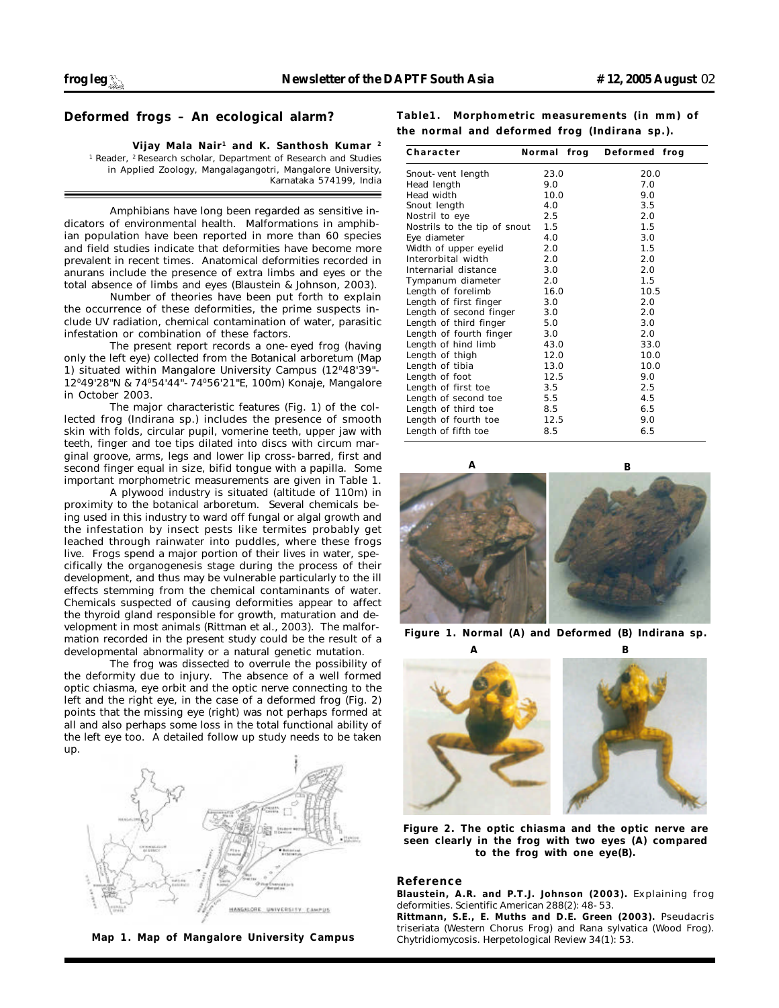# **Deformed frogs – An ecological alarm?**

### **Vijay Mala Nair <sup>1</sup> and K. Santhosh Kumar <sup>2</sup>**

*1 Reader, <sup>2</sup>Research scholar, Department of Research and Studies in Applied Zoology, Mangalagangotri, Mangalore University, Karnataka 574199, India*

Amphibians have long been regarded as sensitive indicators of environmental health. Malformations in amphibian population have been reported in more than 60 species and field studies indicate that deformities have become more prevalent in recent times. Anatomical deformities recorded in anurans include the presence of extra limbs and eyes or the total absence of limbs and eyes (Blaustein & Johnson, 2003).

Number of theories have been put forth to explain the occurrence of these deformities, the prime suspects include UV radiation, chemical contamination of water, parasitic infestation or combination of these factors.

The present report records a one-eyed frog (having only the left eye) collected from the Botanical arboretum (Map 1) situated within Mangalore University Campus (12°48'39"-12<sup>0</sup>49'28"N & 74<sup>0</sup>54'44"-74<sup>0</sup>56'21"E, 100m) Konaje, Mangalore in October 2003.

The major characteristic features (Fig. 1) of the collected frog (*Indirana* sp.) includes the presence of smooth skin with folds, circular pupil, vomerine teeth, upper jaw with teeth, finger and toe tips dilated into discs with circum marginal groove, arms, legs and lower lip cross-barred, first and second finger equal in size, bifid tongue with a papilla. Some important morphometric measurements are given in Table 1.

A plywood industry is situated (altitude of 110m) in proximity to the botanical arboretum. Several chemicals being used in this industry to ward off fungal or algal growth and the infestation by insect pests like termites probably get leached through rainwater into puddles, where these frogs live. Frogs spend a major portion of their lives in water, specifically the organogenesis stage during the process of their development, and thus may be vulnerable particularly to the ill effects stemming from the chemical contaminants of water. Chemicals suspected of causing deformities appear to affect the thyroid gland responsible for growth, maturation and development in most animals (Rittman *et al.*, 2003). The malformation recorded in the present study could be the result of a developmental abnormality or a natural genetic mutation.

The frog was dissected to overrule the possibility of the deformity due to injury. The absence of a well formed optic chiasma, eye orbit and the optic nerve connecting to the left and the right eye, in the case of a deformed frog (Fig. 2) points that the missing eye (right) was not perhaps formed at all and also perhaps some loss in the total functional ability of the left eye too. A detailed follow up study needs to be taken up.



*Map 1. Map of Mangalore University Campus*

**Table1. Morphometric measurements (in mm) of the normal and deformed frog (***Indirana* **sp.).**

| Character                    | Normal frog | Deformed frog |
|------------------------------|-------------|---------------|
| Snout-vent length            | 23.0        | 20.0          |
| Head length                  | 9.0         | 7.0           |
| Head width                   | 10.0        | 9.0           |
| Snout length                 | 4.0         | 3.5           |
| Nostril to eye               | 2.5         | 2.0           |
| Nostrils to the tip of snout | 1.5         | 1.5           |
| Eye diameter                 | 4.0         | 3.0           |
| Width of upper eyelid        | 2.0         | 1.5           |
| Interorbital width           | 2.0         | 2.0           |
| Internarial distance         | 3.0         | 2.0           |
| Tympanum diameter            | 2.0         | 1.5           |
| Length of forelimb           | 16.0        | 10.5          |
| Length of first finger       | 3.0         | 2.0           |
| Length of second finger      | 3.0         | 2.0           |
| Length of third finger       | 5.0         | 3.0           |
| Length of fourth finger      | 3.0         | 2.0           |
| Length of hind limb          | 43.0        | 33.0          |
| Length of thigh              | 12.0        | 10.0          |
| Length of tibia              | 13.0        | 10.0          |
| Length of foot               | 12.5        | 9.0           |
| Length of first toe          | 3.5         | 2.5           |
| Length of second toe         | 5.5         | 4.5           |
| Length of third toe          | 8.5         | 6.5           |
| Length of fourth toe         | 12.5        | 9.0           |
| Length of fifth toe          | 8.5         | 6.5           |



*Figure 1. Normal (A) and Deformed (B)* **Indirana** *sp.*



*Figure 2. The optic chiasma and the optic nerve are seen clearly in the frog with two eyes (A) compared to the frog with one eye(B).*

### **Reference**

**Blaustein, A.R. and P.T.J. Johnson (2003).** Explaining frog deformities. *Scientific American* 288(2): 48-53.

**Rittmann, S.E., E. Muths and D.E. Green (2003).** *Pseudacris triseriata* (Western Chorus Frog) and *Rana sylvatica* (Wood Frog). Chytridiomycosis. *Herpetological Review* 34(1): 53.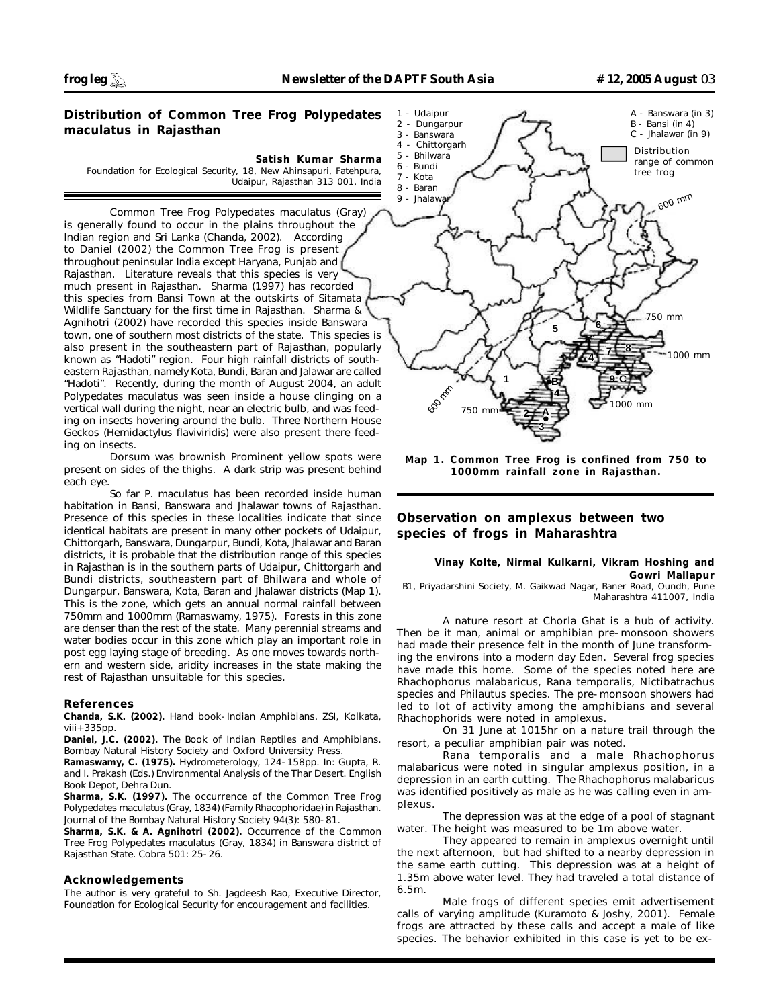# **Distribution of Common Tree Frog** *Polypedates maculatus* **in Rajasthan**

#### **Satish Kumar Sharma**

*Foundation for Ecological Security, 18, New Ahinsapuri, Fatehpura, Udaipur, Rajasthan 313 001, India*

Common Tree Frog *Polypedates maculatus* (Gray) is generally found to occur in the plains throughout the Indian region and Sri Lanka (Chanda, 2002). According to Daniel (2002) the Common Tree Frog is present throughout peninsular India except Haryana, Punjab and Rajasthan. Literature reveals that this species is very much present in Rajasthan. Sharma (1997) has recorded this species from Bansi Town at the outskirts of Sitamata Wildlife Sanctuary for the first time in Rajasthan. Sharma & Agnihotri (2002) have recorded this species inside Banswara town, one of southern most districts of the state. This species is also present in the southeastern part of Rajasthan, popularly known as "Hadoti" region. Four high rainfall districts of southeastern Rajasthan, namely Kota, Bundi, Baran and Jalawar are called "Hadoti". Recently, during the month of August 2004, an adult *Polypedates maculatus* was seen inside a house clinging on a vertical wall during the night, near an electric bulb, and was feeding on insects hovering around the bulb. Three Northern House Geckos (*Hemidactylus flaviviridis*) were also present there feeding on insects.

Dorsum was brownish Prominent yellow spots were present on sides of the thighs. A dark strip was present behind each eye.

So far *P. maculatus* has been recorded inside human habitation in Bansi, Banswara and Jhalawar towns of Rajasthan. Presence of this species in these localities indicate that since identical habitats are present in many other pockets of Udaipur, Chittorgarh, Banswara, Dungarpur, Bundi, Kota, Jhalawar and Baran districts, it is probable that the distribution range of this species in Rajasthan is in the southern parts of Udaipur, Chittorgarh and Bundi districts, southeastern part of Bhilwara and whole of Dungarpur, Banswara, Kota, Baran and Jhalawar districts (Map 1). This is the zone, which gets an annual normal rainfall between 750mm and 1000mm (Ramaswamy, 1975). Forests in this zone are denser than the rest of the state. Many perennial streams and water bodies occur in this zone which play an important role in post egg laying stage of breeding. As one moves towards northern and western side, aridity increases in the state making the rest of Rajasthan unsuitable for this species.

#### **References**

**Chanda, S.K. (2002).** *Hand book-Indian Amphibians*. ZSI, Kolkata,  $viii+335pp.$ 

**Daniel, J.C. (2002).** *The Book of Indian Reptiles and Amphibians*. Bombay Natural History Society and Oxford University Press.

**Ramaswamy, C. (1975).** Hydrometerology, 124-158pp. In: Gupta, R. and I. Prakash (Eds.) *Environmental Analysis of the Thar Desert*. English Book Depot, Dehra Dun.

**Sharma, S.K. (1997).** The occurrence of the Common Tree Frog *Polypedates maculatus* (Gray, 1834) (Family Rhacophoridae) in Rajasthan. *Journal of the Bombay Natural History Society* 94(3): 580-81.

**Sharma, S.K. & A. Agnihotri (2002).** Occurrence of the Common Tree *Frog Polypedates maculatus* (Gray, 1834) in Banswara district of Rajasthan State. *Cobra* 501: 25-26.

## **Acknowledgements**

The author is very grateful to Sh. Jagdeesh Rao, Executive Director, Foundation for Ecological Security for encouragement and facilities.



*Map 1. Common Tree Frog is confined from 750 to 1000mm rainfall zone in Rajasthan.*

# **Observation on amplexus between two species of frogs in Maharashtra**

## **Vinay Kolte, Nirmal Kulkarni, Vikram Hoshing and Gowri Mallapur**

*B1, Priyadarshini Society, M. Gaikwad Nagar, Baner Road, Oundh, Pune Maharashtra 411007, India*

A nature resort at Chorla Ghat is a hub of activity. Then be it man, animal or amphibian pre-monsoon showers had made their presence felt in the month of June transforming the environs into a modern day Eden. Several frog species have made this home. Some of the species noted here are *Rhachophorus malabaricus, Rana temporalis, Nictibatrachus* species and *Philautus* species. The pre-monsoon showers had led to lot of activity among the amphibians and several *Rhachophorids* were noted in amplexus.

On 31 June at 1015hr on a nature trail through the resort, a peculiar amphibian pair was noted.

*Rana temporalis* and a male *Rhachophorus malabaricus* were noted in singular amplexus position, in a depression in an earth cutting. The *Rhachophorus malabaricus* was identified positively as male as he was calling even in amplexus.

The depression was at the edge of a pool of stagnant water. The height was measured to be 1m above water.

They appeared to remain in amplexus overnight until the next afternoon, but had shifted to a nearby depression in the same earth cutting. This depression was at a height of 1.35m above water level. They had traveled a total distance of 6.5m.

Male frogs of different species emit advertisement calls of varying amplitude (Kuramoto & Joshy, 2001). Female frogs are attracted by these calls and accept a male of like species. The behavior exhibited in this case is yet to be ex-